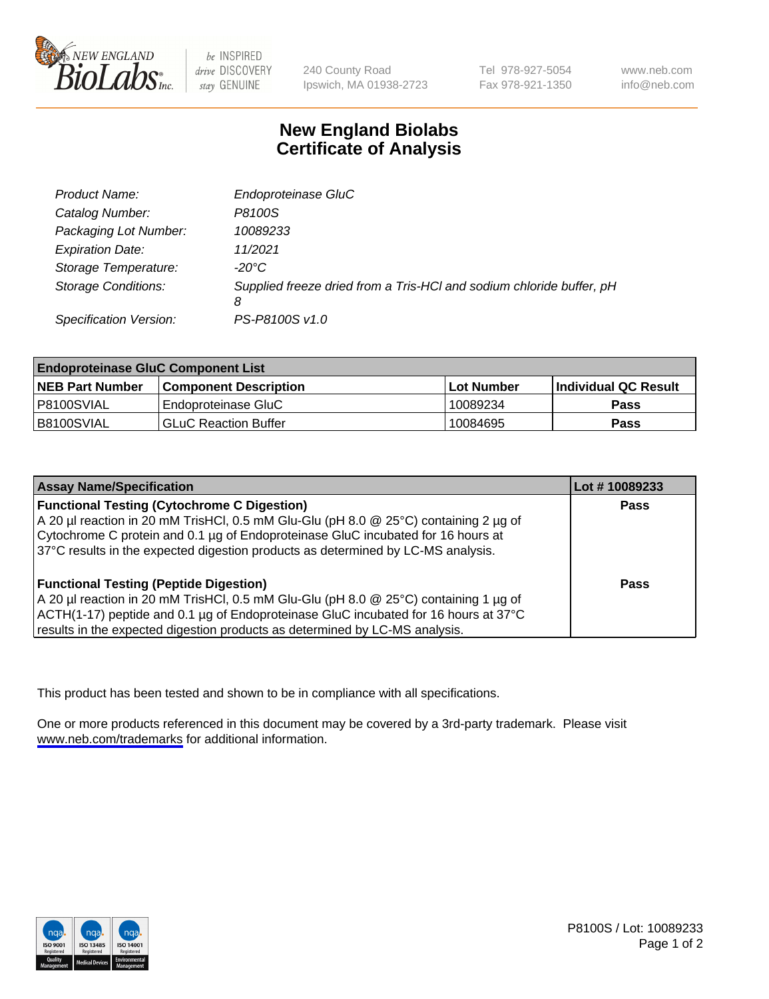

be INSPIRED drive DISCOVERY stay GENUINE

240 County Road Ipswich, MA 01938-2723 Tel 978-927-5054 Fax 978-921-1350

www.neb.com info@neb.com

## **New England Biolabs Certificate of Analysis**

| Product Name:              | Endoproteinase GluC                                                       |
|----------------------------|---------------------------------------------------------------------------|
| Catalog Number:            | P8100S                                                                    |
| Packaging Lot Number:      | 10089233                                                                  |
| <b>Expiration Date:</b>    | 11/2021                                                                   |
| Storage Temperature:       | $-20^{\circ}$ C                                                           |
| <b>Storage Conditions:</b> | Supplied freeze dried from a Tris-HCI and sodium chloride buffer, pH<br>8 |
| Specification Version:     | PS-P8100S v1.0                                                            |

| <b>Endoproteinase GluC Component List</b> |                              |            |                       |  |
|-------------------------------------------|------------------------------|------------|-----------------------|--|
| <b>NEB Part Number</b>                    | <b>Component Description</b> | Lot Number | ∣Individual QC Result |  |
| P8100SVIAL                                | Endoproteinase GluC          | 10089234   | Pass                  |  |
| B8100SVIAL                                | <b>GLuC Reaction Buffer</b>  | 10084695   | Pass                  |  |

| <b>Assay Name/Specification</b>                                                      | Lot #10089233 |
|--------------------------------------------------------------------------------------|---------------|
| <b>Functional Testing (Cytochrome C Digestion)</b>                                   | <b>Pass</b>   |
| A 20 µl reaction in 20 mM TrisHCl, 0.5 mM Glu-Glu (pH 8.0 @ 25°C) containing 2 µg of |               |
| Cytochrome C protein and 0.1 µg of Endoproteinase GluC incubated for 16 hours at     |               |
| 37°C results in the expected digestion products as determined by LC-MS analysis.     |               |
|                                                                                      |               |
| <b>Functional Testing (Peptide Digestion)</b>                                        | Pass          |
| A 20 µl reaction in 20 mM TrisHCl, 0.5 mM Glu-Glu (pH 8.0 @ 25°C) containing 1 µg of |               |
| ACTH(1-17) peptide and 0.1 µg of Endoproteinase GluC incubated for 16 hours at 37°C  |               |
| results in the expected digestion products as determined by LC-MS analysis.          |               |

This product has been tested and shown to be in compliance with all specifications.

One or more products referenced in this document may be covered by a 3rd-party trademark. Please visit <www.neb.com/trademarks>for additional information.